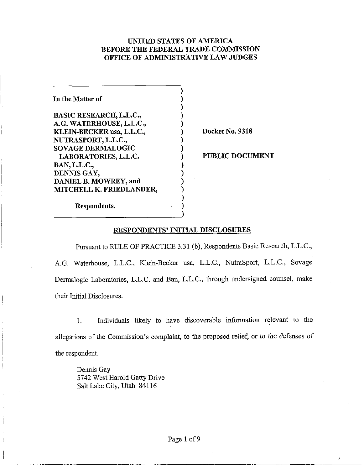## **UNITED STATES OF AMERICA BEFORE THE FEDERAL TRADE COMMISSION OFRICE OF ADMINISTRATIVE LAW JUDGES**

| In the Matter of               |                    |
|--------------------------------|--------------------|
| <b>BASIC RESEARCH, L.L.C.,</b> |                    |
| A.G. WATERHOUSE, L.L.C.,       |                    |
| KLEIN-BECKER usa, L.L.C.,      | Docket No. 9318    |
| NUTRASPORT, L.L.C.,            |                    |
| <b>SOVAGE DERMALOGIC</b>       |                    |
| LABORATORIES, L.L.C.           | <b>PUBLIC DOCU</b> |
| <b>BAN, L.L.C.,</b>            |                    |
| DENNIS GAY,                    |                    |
| DANIEL B. MOWREY, and          |                    |
| MITCHELL K. FRIEDLANDER,       |                    |
|                                |                    |
| Respondents.                   |                    |
|                                |                    |

**PUBLIC DOCUMENT** 

<sup>1</sup>Pursuant to RULE OF PRACTICE 3.31 (b), Respondents Basic Research, L.L.C., A.G. Waterhouse, L.L.C., Klein-Becker usa, L.L.C., NutraSport, L.L.C., Sovage Dermalogic Laboratories, L.L.C. and Ban, L.L.C., through undersigned counsel, make their Initial Disclosures.

1. Individuals likely to have discoverable information relevant to the allegations of the Commission's complaint, to the proposed relief, or to the defenses of the respondent.

Dennis Gay 5742 West Harold Gatty Drive Salt Lake City, Utah 841 16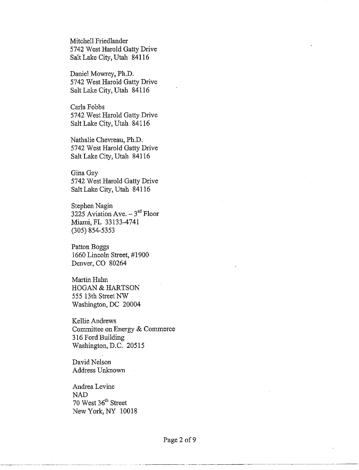Mitchell Friedlander 5742 West Harold Gatty Drive Salt Lake City, Utah 841 16

Daniel Mowrey, Ph.D. 5742 West Harold Gatty Drive Salt Lake City, Utah 841 16

Carla Fobbs 5742 West Harold Gatty Drive Salt Lalce City, Utah 841 16

Nathalie Chevreau, Ph.D. 5742 West Harold Gatty Drive Salt Lake City, Utah 841 16

Gina Gay 5742 West Harold Gatty Drive Salt Lake City, Utah 84116

Stephen Nagin 3225 Aviation Ave.  $-3^{rd}$  Floor Miami, FL 33 133-4741 (305) 854-5353

Patton Boggs 1660 Lincoln Street, #I900 Denver, CO 80264

Martin Hahn HOGAN & HARTSON 555 13th Street NW Washington, DC 20004

Kellie Andrews Committee on Energy & Commerce 3 16 Ford Building Washington, D.C. 20515

David Nelson Address Unknown

Andrea Levine NAD 70 West 36<sup>th</sup> Street New York, NY 10018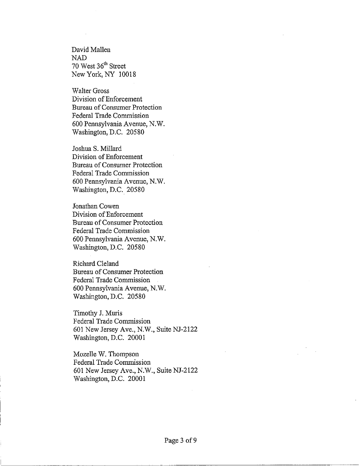David Mallen NAD 70 West 36<sup>th</sup> Street New York, NY 10018

Walter Gross Division of Enforcement Bureau of Consumer Protection Federal Trade Commission 600 Pennsylvania Avenue, N.W. Washington, D.C. 20580

Joshua S. Millard Division of Enforcement Bureau of Consumer Protection Federal Trade Commission 600 Pennsylvania Avenue, N.W. Washington, D.C. 20580

Jonathan Cowen Division of Enforcement Bureau of Consumer Protection Federal Trade Commission 600 Pennsylvania Avenue, N.W. Washington, D.C. 20580

Richard Cleland Bureau of Consumer Protection Federal Trade Conmission 600 Pennsylvania Avenue, N.W. Washington, D.C. 20580

Timothy J. Muris Federal Trade Commission 601 New Jersey Ave., N.W., Suite NJ-2122 Washington, D.C. 20001

Mozelle W. Thompson Federal Trade Commission 601 New Jersey Ave., N.W., Suite NJ-2122 Washington, D.C. 20001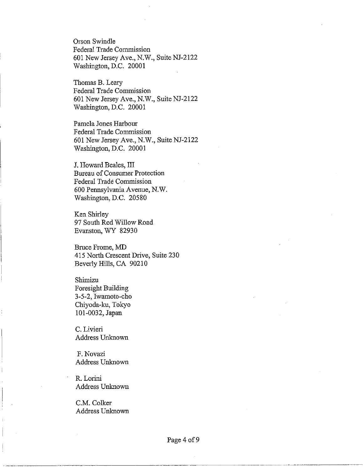Orson Swindle Federal Trade Commission 601 New Jersey Ave., N.W., Suite NJ-2122 Washington, D.C. 20001

Thomas B. Leary Federal Trade Commission 601 New Jersey Ave., N.W., Suite NJ-2122 Washington, D.C. 20001

Pamela Jones Harbour Federal Trade Conmission 601 New Jersey Ave., N.W., Suite NJ-2122 Washington, D.C. 20001

**5.** Howard Beales, III Bureau of Consumer Protection Federal Trade Conmission 600 Pennsylvania Avenue, N.W. Washington, D.C. 20580

Ken Shirley 97 South Red Willow Road Evanston, WY 82930

Bruce Frome, MD <sup>1</sup>415 North Crescent Drive, Suite 230 ! Beverly Hills, CA 90210

Shimizu Foresight Building 3-5-2, Iwamoto-cho Chiyoda-ku, Tokyo 101-0032, Japan

C. Livieri Address Unknown

F. Novazi Address Unknown

R. Lorini Address Unknown

C.M. Colker Address Unknown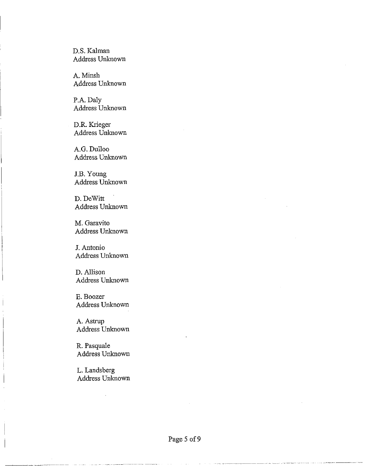D.S. Kalman Address Unknown

A. Minsh Address Unknown

P.A. Daly Address Unknown

D.R. Krieger Address Unknown

A.G. Dulloo Address Unknown

J.B. Young Address Unknown

D. DeWitt Address Unknown

M. Garavito Address Unknown

J. Antonio Address Unknown

D. Allison Address Unknown

E. Boozer Address Unknown

A. Astrup Address Unknown

R. Pasquale Address Unknown

L. Landsberg Address Unknown

~.~. ~ ..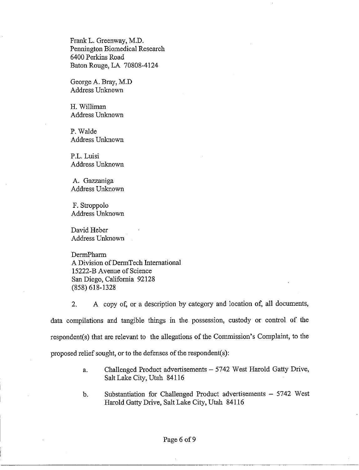Frank L. Greenway, M.D. Pennington Biomedical Research 6400 Perkins Road Baton Rouge, LA 70808-4124

George A. Bray, M.D Address Unknown

H. Williman Address Unknown

P. Walde Address Unknown

P.L. Luisi Address Unknown

A. Gazzaniga Address Unknown

F. Stroppolo Address Unknown

David Heber Address Unknown

DermPharm A Division of DermTech International 15222-B Avenue of Science San Diego, California 92128 (858) 618-1328

2. A copy of, or a description by category and location of, all documents, data compilations and tangible things in the possession, custody or control of the respondent(s) that are relevant to the allegations of the Commission's Complaint, to the proposed relief sought, or to the defenses of the respondent(s):

- a. Challenged Product advertisements 5742 West Harold Gatty Drive, Salt Lake City, Utah 841 16
- b. Substantiation for Challenged Product advertisements 5742 West Harold Gatty Drive, Salt Lake City, Utah 841 16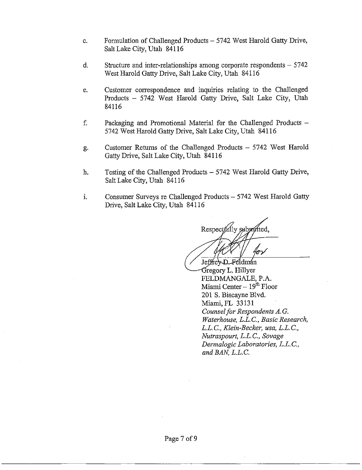- c. Formulation of Challenged Products  $5742$  West Harold Gatty Drive, Salt Lalce City, Utah 841 16
- d. Structure and inter-relationships among corporate respondents  $-5742$ West Harold Gatty Drive, Salt Lake City, Utah 841 16
- e. Customer correspondence and inquiries relating to the Challenged Products - 5742 West Harold Gatty Drive, Salt Lake City, Utah 84116
- f. Packaging and Promotional Material for the Challenged Products 5742 West Harold Gatty Drive, Salt Lake City, Utah 841 16
- g. Customer Returns of the Challenged Products 5742 West Harold Gatty Drive, Salt Lalce City, Utah 841 16
- h. Testing of the Challenged Products 5742 West Harold Gatty Drive, Salt Lake City, Utah 84116
- i. Consumer Surveys re Challenged Products 5742 West Harold Gatty Drive, Salt Lake City, Utah 841 16

Respectfully submitted.

Jeffrev D-Feldmán Gregory L. Hillyer FELDMANGALE, P.A. Miami Center  $-19<sup>th</sup>$  Floor 201 S. Biscayne Blvd. Miami,FL 33131 *Counsel for Respondents A. G. Waterhouse, L.L.C., Basic Research, L.L. C., Klein-Becker, usa, L.L. C., Nutraspourt, L.L. C., Sovage Dennalogic Laboratories, L.L. C.,*  and BAN. L.L.C.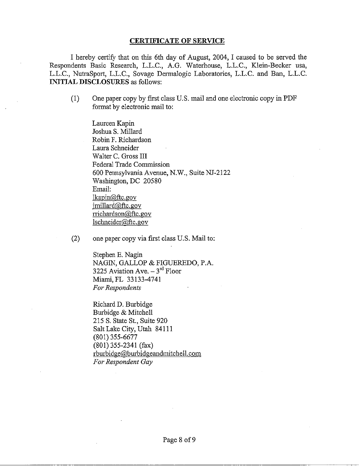## CERTIFICATE OF SERVICE

I hereby certify that on this 6th day of August, 2004, I caused to be served the Respondents Basic Research, L.L.C., A.G. Waterhouse, L.L.C., Klein-Becker usa, L.L.C., NutraSport, L.L.C., Sovage Dermalogic Laboratories, L.L.C. and Ban, L.L.C. INITIAL DISCLOSURES as follows:

(1) One paper copy by first class US. mail and one electronic copy in PDF format by electronic mail to:

Laureen Kapin Joshua S. Millard Robin F. Richardson Laura Schneider Walter C. Gross III Federal Trade Commission 600 Pennsylvania Avenue, N.W., Suite NJ-2122 Washington, DC 20580 Email: lkapin@ftc.gov  $initial@$ ftc.gov  $\text{trichardson}(\widehat{\omega})$ ftc.gov Isclmeider@,ftc.aov

(2) one paper copy via first class U.S. Mail to:

Stephen E. Nagin NAGIN, GALLOP & FIGUEREDO, P.A. 3225 Aviation Ave.  $-3^{rd}$  Floor Miami, FL 33 133-4741 *For Respondents* 

Richard D. Burbidge Burbidge & Mitchell 215 S. State St., Suite 920 Salt Lake City, Utah 84111 (801) 355-6677 (801) 355-2341 (fax) rburbidge@burbidgeandmitchell.com *For Respondent Gay*